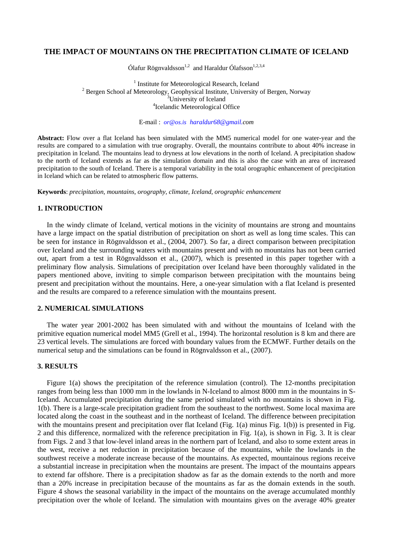# **THE IMPACT OF MOUNTAINS ON THE PRECIPITATION CLIMATE OF ICELAND**

Ólafur Rögnvaldsson<sup>1,2</sup> and Haraldur Ólafsson<sup>1,2,3,4</sup>

<sup>1</sup> Institute for Meteorological Research, Iceland<br><sup>2</sup> Berson School of Meteorology, Geophysical Institute, University  $2$  Bergen School af Meteorology, Geophysical Institute, University of Bergen, Norway  $3$ University of Iceland <sup>4</sup>Icelandic Meteorological Office

E-mail : *or@os.is haraldur68@gmail.com*

**Abstract:** Flow over a flat Iceland has been simulated with the MM5 numerical model for one water-year and the results are compared to a simulation with true orography. Overall, the mountains contribute to about 40% increase in precipitation in Iceland. The mountains lead to dryness at low elevations in the north of Iceland. A precipitation shadow to the north of Iceland extends as far as the simulation domain and this is also the case with an area of increased precipitation to the south of Iceland. There is a temporal variability in the total orographic enhancement of precipitation in Iceland which can be related to atmospheric flow patterns.

**Keywords**: *precipitation, mountains, orography, climate, Iceland, orographic enhancement* 

# **1. INTRODUCTION**

In the windy climate of Iceland, vertical motions in the vicinity of mountains are strong and mountains have a large impact on the spatial distribution of precipitation on short as well as long time scales. This can be seen for instance in Rögnvaldsson et al., (2004, 2007). So far, a direct comparison between precipitation over Iceland and the surrounding waters with mountains present and with no mountains has not been carried out, apart from a test in Rögnvaldsson et al., (2007), which is presented in this paper together with a preliminary flow analysis. Simulations of precipitation over Iceland have been thoroughly validated in the papers mentioned above, inviting to simple comparison between precipitation with the mountains being present and precipitation without the mountains. Here, a one-year simulation with a flat Iceland is presented and the results are compared to a reference simulation with the mountains present.

# **2. NUMERICAL SIMULATIONS**

The water year 2001-2002 has been simulated with and without the mountains of Iceland with the primitive equation numerical model MM5 (Grell et al., 1994). The horizontal resolution is 8 km and there are 23 vertical levels. The simulations are forced with boundary values from the ECMWF. Further details on the numerical setup and the simulations can be found in Rögnvaldsson et al., (2007).

### **3. RESULTS**

Figure 1(a) shows the precipitation of the reference simulation (control). The 12-months precipitation ranges from being less than 1000 mm in the lowlands in N-Iceland to almost 8000 mm in the mountains in S-Iceland. Accumulated precipitation during the same period simulated with no mountains is shown in Fig. 1(b). There is a large-scale precipitation gradient from the southeast to the northwest. Some local maxima are located along the coast in the southeast and in the northeast of Iceland. The difference between precipitation with the mountains present and precipitation over flat Iceland (Fig. 1(a) minus Fig. 1(b)) is presented in Fig. 2 and this difference, normalized with the reference precipitation in Fig. 1(a), is shown in Fig. 3. It is clear from Figs. 2 and 3 that low-level inland areas in the northern part of Iceland, and also to some extent areas in the west, receive a net reduction in precipitation because of the mountains, while the lowlands in the southwest receive a moderate increase because of the mountains. As expected, mountainous regions receive a substantial increase in precipitation when the mountains are present. The impact of the mountains appears to extend far offshore. There is a precipitation shadow as far as the domain extends to the north and more than a 20% increase in precipitation because of the mountains as far as the domain extends in the south. Figure 4 shows the seasonal variability in the impact of the mountains on the average accumulated monthly precipitation over the whole of Iceland. The simulation with mountains gives on the average 40% greater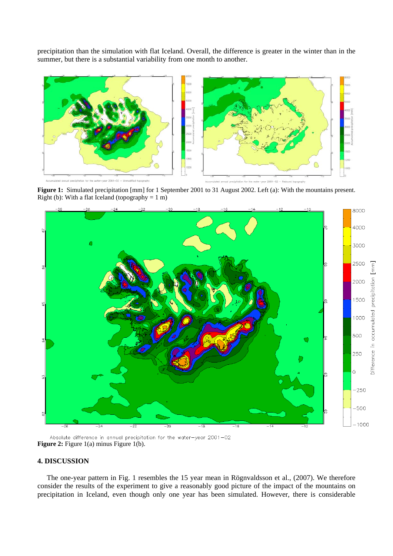precipitation than the simulation with flat Iceland. Overall, the difference is greater in the winter than in the summer, but there is a substantial variability from one month to another.



 **Figure 1:** Simulated precipitation [mm] for 1 September 2001 to 31 August 2002. Left (a): With the mountains present. Right (b): With a flat Iceland (topography =  $1 \text{ m}$ )



Absolute difference in annual precipitation for the water-year 2001-02 **Figure 2:** Figure 1(a) minus Figure 1(b).

# **4. DISCUSSION**

The one-year pattern in Fig. 1 resembles the 15 year mean in Rögnvaldsson et al., (2007). We therefore consider the results of the experiment to give a reasonably good picture of the impact of the mountains on precipitation in Iceland, even though only one year has been simulated. However, there is considerable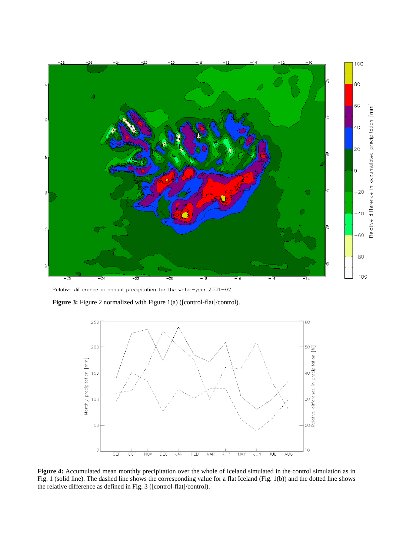

Relative difference in annual precipitation for the water-year 2001-02

Figure 3: Figure 2 normalized with Figure 1(a) ([control-flat]/control).



Figure 4: Accumulated mean monthly precipitation over the whole of Iceland simulated in the control simulation as in Fig. 1 (solid line). The dashed line shows the corresponding value for a flat Iceland (Fig. 1(b)) and the dotted line shows the relative difference as defined in Fig. 3 ([control-flat]/control).